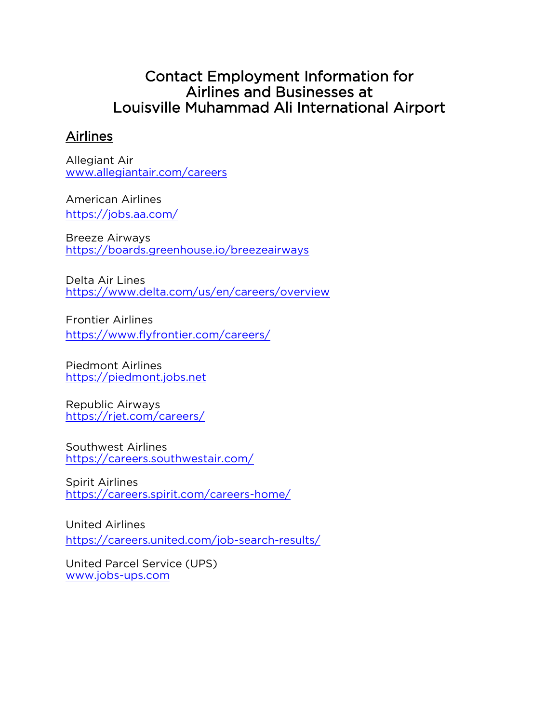# Contact Employment Information for Airlines and Businesses at Louisville Muhammad Ali International Airport

### Airlines

Allegiant Air [www.allegiantair.com/careers](http://www.allegiantair.com/careers)

American Airlines https://jobs.aa.com/

Breeze Airways https://boards.greenhouse.io/breezeairways

Delta Air Lines https://www.delta.com/us/en/careers/overview

Frontier Airlines <https://www.flyfrontier.com/careers/>

Piedmont Airlines [https://piedmont.jobs.net](https://piedmont.jobs.net/)

Republic Airways <https://rjet.com/careers/>

Southwest Airlines <https://careers.southwestair.com/>

Spirit Airlines <https://careers.spirit.com/careers-home/>

United Airlines https://careers.united.com/job-search-results/

United Parcel Service (UPS) [www.jobs-ups.com](http://www.jobs-ups.com/)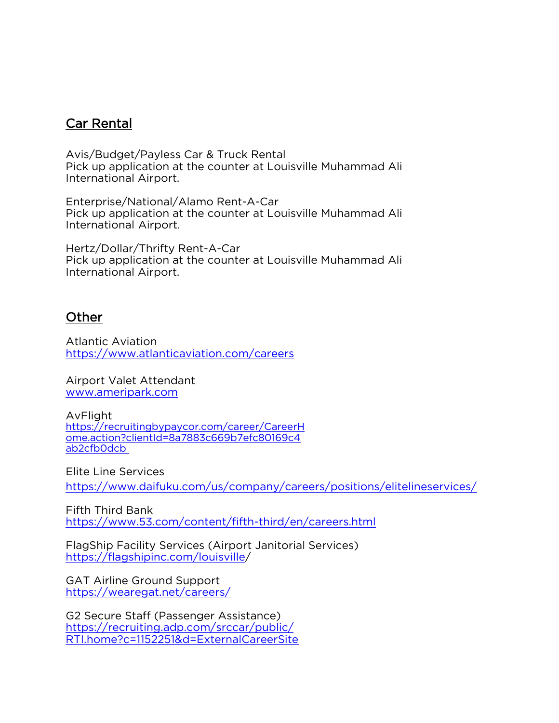#### Car Rental

Avis/Budget/Payless Car & Truck Rental Pick up application at the counter at Louisville Muhammad Ali International Airport.

Enterprise/National/Alamo Rent-A-Car Pick up application at the counter at Louisville Muhammad Ali International Airport.

Hertz/Dollar/Thrifty Rent-A-Car Pick up application at the counter at Louisville Muhammad Ali International Airport.

#### **Other**

Atlantic Aviation https://www.atlanticaviation.com/careers

Airport Valet Attendant [www.ameripark.com](http://www.ameripark.com/)

AvFlight [https://recruitingbypaycor.com/career/CareerH](https://recruitingbypaycor.com/career/CareerHome.action?clientId=8a7883c669b7efc80169c4ab2cfb0dcb) [ome.action?clientId=8a7883c669b7efc80169c4](https://recruitingbypaycor.com/career/CareerHome.action?clientId=8a7883c669b7efc80169c4ab2cfb0dcb) [ab2cfb0dcb](https://recruitingbypaycor.com/career/CareerHome.action?clientId=8a7883c669b7efc80169c4ab2cfb0dcb)

Elite Line Services https://www.daifuku.com/us/company/careers/positions/elitelineservices/

Fifth Third Bank <https://www.53.com/content/fifth-third/en/careers.html>

FlagShip Facility Services (Airport Janitorial Services) https://flagshipinc.com/louisville/

GAT Airline Ground Support <https://wearegat.net/careers/>

G2 Secure Staff (Passenger Assistance) [https://recruiting.adp.com/srccar/public/](https://recruiting.adp.com/srccar/public/RTI.home?c=1152251&d=ExternalCareerSite) [RTI.home?c=1152251&d=ExternalCareerSite](https://recruiting.adp.com/srccar/public/RTI.home?c=1152251&d=ExternalCareerSite)